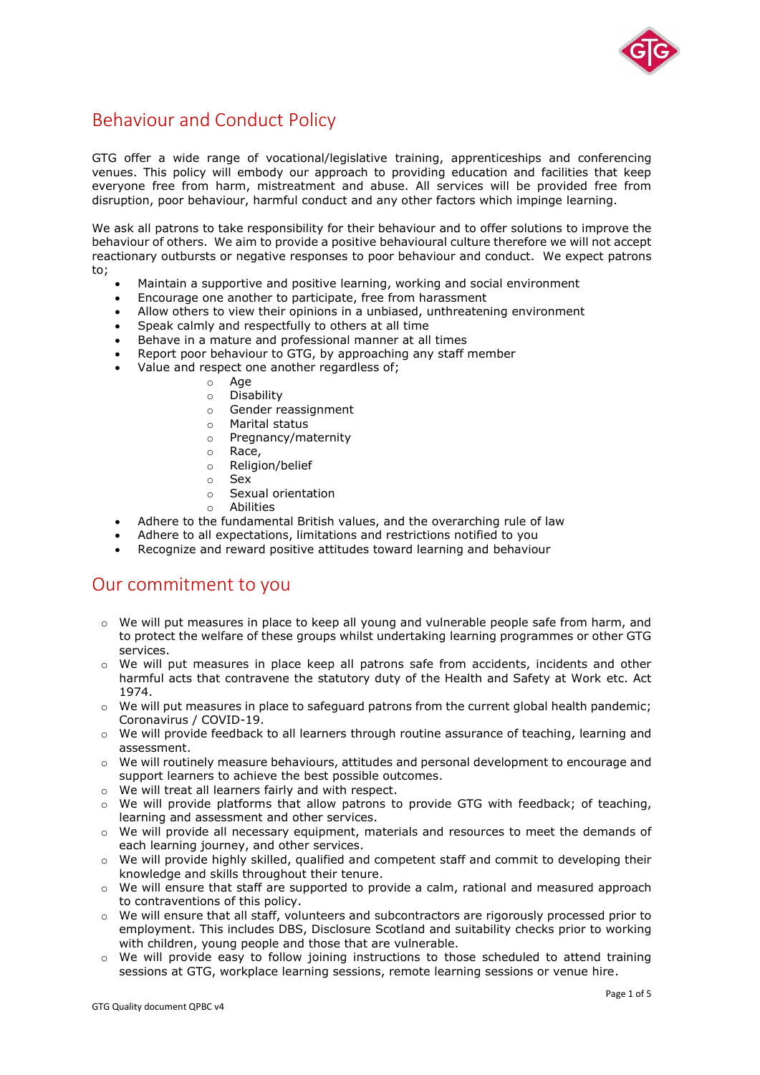

## Behaviour and Conduct Policy

GTG offer a wide range of vocational/legislative training, apprenticeships and conferencing venues. This policy will embody our approach to providing education and facilities that keep everyone free from harm, mistreatment and abuse. All services will be provided free from disruption, poor behaviour, harmful conduct and any other factors which impinge learning.

We ask all patrons to take responsibility for their behaviour and to offer solutions to improve the behaviour of others. We aim to provide a positive behavioural culture therefore we will not accept reactionary outbursts or negative responses to poor behaviour and conduct. We expect patrons to;

- Maintain a supportive and positive learning, working and social environment
- Encourage one another to participate, free from harassment
- Allow others to view their opinions in a unbiased, unthreatening environment
- Speak calmly and respectfully to others at all time
- Behave in a mature and professional manner at all times
- Report poor behaviour to GTG, by approaching any staff member
- Value and respect one another regardless of;
	- o Age
	- o Disability
	- o Gender reassignment
	- o Marital status
	- o Pregnancy/maternity
	- o Race,
	- o Religion/belief
	- o Sex
	- o Sexual orientation
	- o Abilities
- Adhere to the fundamental British values, and the overarching rule of law
- Adhere to all expectations, limitations and restrictions notified to you
- Recognize and reward positive attitudes toward learning and behaviour

### Our commitment to you

- o We will put measures in place to keep all young and vulnerable people safe from harm, and to protect the welfare of these groups whilst undertaking learning programmes or other GTG services.
- o We will put measures in place keep all patrons safe from accidents, incidents and other harmful acts that contravene the statutory duty of the Health and Safety at Work etc. Act 1974.
- $\circ$  We will put measures in place to safeguard patrons from the current global health pandemic; Coronavirus / COVID-19.
- $\circ$  We will provide feedback to all learners through routine assurance of teaching, learning and assessment.
- o We will routinely measure behaviours, attitudes and personal development to encourage and support learners to achieve the best possible outcomes.
- o We will treat all learners fairly and with respect.
- $\circ$  We will provide platforms that allow patrons to provide GTG with feedback; of teaching, learning and assessment and other services.
- o We will provide all necessary equipment, materials and resources to meet the demands of each learning journey, and other services.
- $\circ$  We will provide highly skilled, qualified and competent staff and commit to developing their knowledge and skills throughout their tenure.
- $\circ$  We will ensure that staff are supported to provide a calm, rational and measured approach to contraventions of this policy.
- $\circ$  We will ensure that all staff, volunteers and subcontractors are rigorously processed prior to employment. This includes DBS, Disclosure Scotland and suitability checks prior to working with children, young people and those that are vulnerable.
- o We will provide easy to follow joining instructions to those scheduled to attend training sessions at GTG, workplace learning sessions, remote learning sessions or venue hire.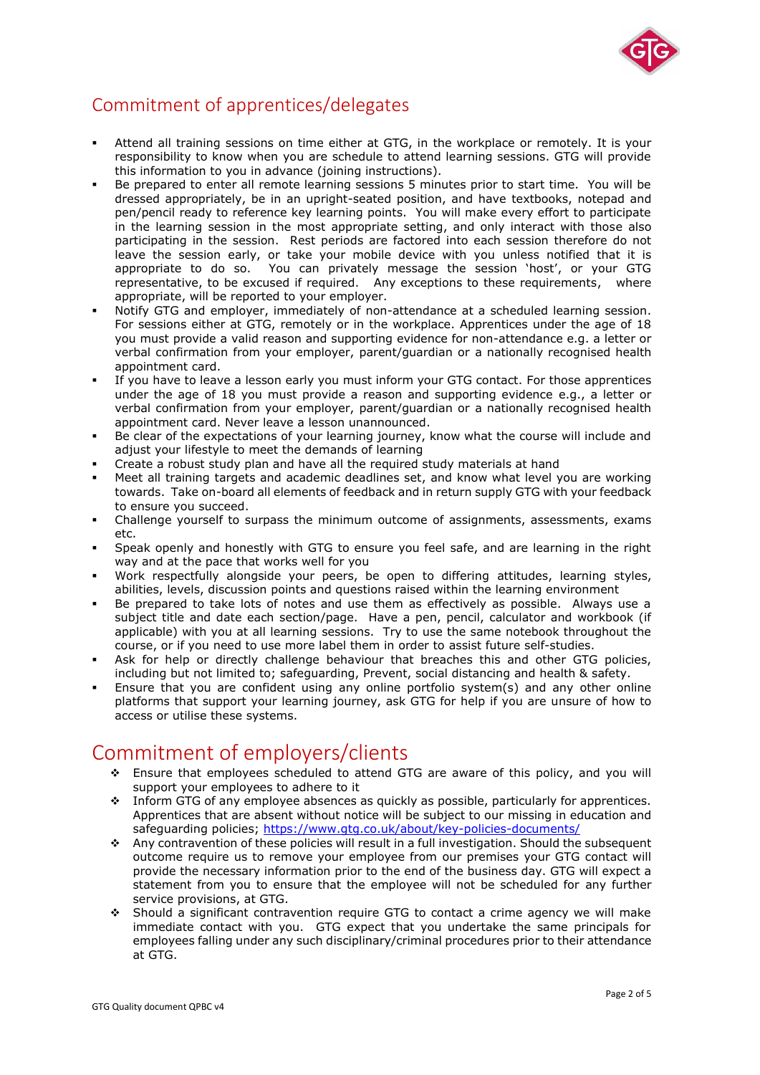

## Commitment of apprentices/delegates

- Attend all training sessions on time either at GTG, in the workplace or remotely. It is your responsibility to know when you are schedule to attend learning sessions. GTG will provide this information to you in advance (joining instructions).
- Be prepared to enter all remote learning sessions 5 minutes prior to start time. You will be dressed appropriately, be in an upright-seated position, and have textbooks, notepad and pen/pencil ready to reference key learning points. You will make every effort to participate in the learning session in the most appropriate setting, and only interact with those also participating in the session. Rest periods are factored into each session therefore do not leave the session early, or take your mobile device with you unless notified that it is appropriate to do so. You can privately message the session 'host', or your GTG representative, to be excused if required. Any exceptions to these requirements, where appropriate, will be reported to your employer.
- Notify GTG and employer, immediately of non-attendance at a scheduled learning session. For sessions either at GTG, remotely or in the workplace. Apprentices under the age of 18 you must provide a valid reason and supporting evidence for non-attendance e.g. a letter or verbal confirmation from your employer, parent/guardian or a nationally recognised health appointment card.
- If you have to leave a lesson early you must inform your GTG contact. For those apprentices under the age of 18 you must provide a reason and supporting evidence e.g., a letter or verbal confirmation from your employer, parent/guardian or a nationally recognised health appointment card. Never leave a lesson unannounced.
- Be clear of the expectations of your learning journey, know what the course will include and adjust your lifestyle to meet the demands of learning
- Create a robust study plan and have all the required study materials at hand
- Meet all training targets and academic deadlines set, and know what level you are working towards. Take on-board all elements of feedback and in return supply GTG with your feedback to ensure you succeed.
- Challenge yourself to surpass the minimum outcome of assignments, assessments, exams etc.
- Speak openly and honestly with GTG to ensure you feel safe, and are learning in the right way and at the pace that works well for you
- Work respectfully alongside your peers, be open to differing attitudes, learning styles, abilities, levels, discussion points and questions raised within the learning environment
- Be prepared to take lots of notes and use them as effectively as possible. Always use a subject title and date each section/page. Have a pen, pencil, calculator and workbook (if applicable) with you at all learning sessions. Try to use the same notebook throughout the course, or if you need to use more label them in order to assist future self-studies.
- Ask for help or directly challenge behaviour that breaches this and other GTG policies, including but not limited to; safeguarding, Prevent, social distancing and health & safety.
- Ensure that you are confident using any online portfolio system(s) and any other online platforms that support your learning journey, ask GTG for help if you are unsure of how to access or utilise these systems.

# Commitment of employers/clients

- ❖ Ensure that employees scheduled to attend GTG are aware of this policy, and you will support your employees to adhere to it
- ❖ Inform GTG of any employee absences as quickly as possible, particularly for apprentices. Apprentices that are absent without notice will be subject to our missing in education and safeguarding policies;<https://www.gtg.co.uk/about/key-policies-documents/>
- ❖ Any contravention of these policies will result in a full investigation. Should the subsequent outcome require us to remove your employee from our premises your GTG contact will provide the necessary information prior to the end of the business day. GTG will expect a statement from you to ensure that the employee will not be scheduled for any further service provisions, at GTG.
- ❖ Should a significant contravention require GTG to contact a crime agency we will make immediate contact with you. GTG expect that you undertake the same principals for employees falling under any such disciplinary/criminal procedures prior to their attendance at GTG.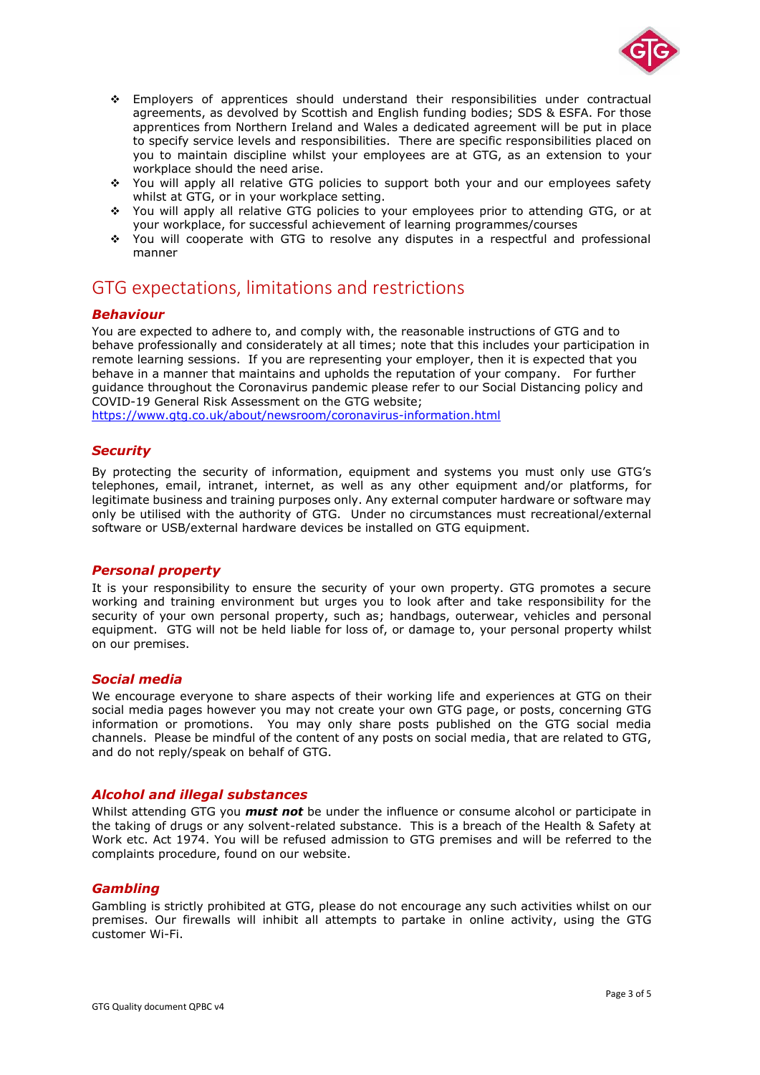

- ❖ Employers of apprentices should understand their responsibilities under contractual agreements, as devolved by Scottish and English funding bodies; SDS & ESFA. For those apprentices from Northern Ireland and Wales a dedicated agreement will be put in place to specify service levels and responsibilities. There are specific responsibilities placed on you to maintain discipline whilst your employees are at GTG, as an extension to your workplace should the need arise.
- ❖ You will apply all relative GTG policies to support both your and our employees safety whilst at GTG, or in your workplace setting.
- ❖ You will apply all relative GTG policies to your employees prior to attending GTG, or at your workplace, for successful achievement of learning programmes/courses
- ❖ You will cooperate with GTG to resolve any disputes in a respectful and professional manner

### GTG expectations, limitations and restrictions

#### *Behaviour*

You are expected to adhere to, and comply with, the reasonable instructions of GTG and to behave professionally and considerately at all times; note that this includes your participation in remote learning sessions. If you are representing your employer, then it is expected that you behave in a manner that maintains and upholds the reputation of your company. For further guidance throughout the Coronavirus pandemic please refer to our Social Distancing policy and COVID-19 General Risk Assessment on the GTG website;

<https://www.gtg.co.uk/about/newsroom/coronavirus-information.html>

#### *Security*

By protecting the security of information, equipment and systems you must only use GTG's telephones, email, intranet, internet, as well as any other equipment and/or platforms, for legitimate business and training purposes only. Any external computer hardware or software may only be utilised with the authority of GTG. Under no circumstances must recreational/external software or USB/external hardware devices be installed on GTG equipment.

#### *Personal property*

It is your responsibility to ensure the security of your own property. GTG promotes a secure working and training environment but urges you to look after and take responsibility for the security of your own personal property, such as; handbags, outerwear, vehicles and personal equipment. GTG will not be held liable for loss of, or damage to, your personal property whilst on our premises.

#### *Social media*

We encourage everyone to share aspects of their working life and experiences at GTG on their social media pages however you may not create your own GTG page, or posts, concerning GTG information or promotions. You may only share posts published on the GTG social media channels. Please be mindful of the content of any posts on social media, that are related to GTG, and do not reply/speak on behalf of GTG.

#### *Alcohol and illegal substances*

Whilst attending GTG you *must not* be under the influence or consume alcohol or participate in the taking of drugs or any solvent-related substance. This is a breach of the Health & Safety at Work etc. Act 1974. You will be refused admission to GTG premises and will be referred to the complaints procedure, found on our website.

#### *Gambling*

Gambling is strictly prohibited at GTG, please do not encourage any such activities whilst on our premises. Our firewalls will inhibit all attempts to partake in online activity, using the GTG customer Wi-Fi.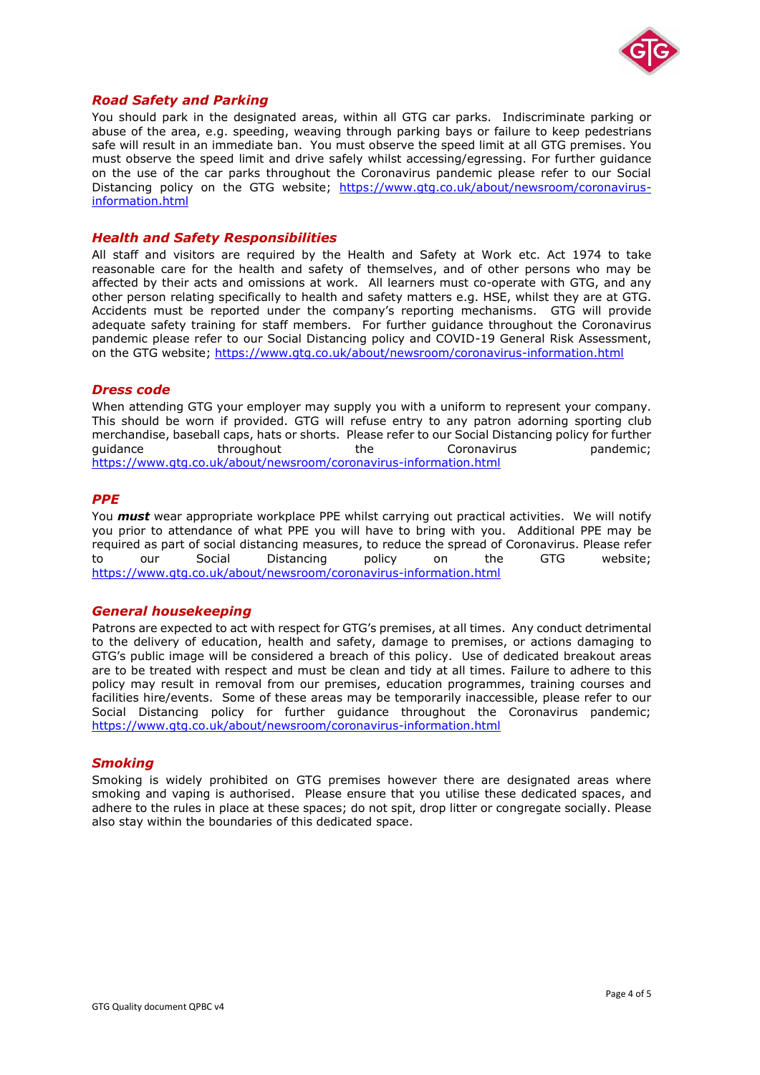

#### *Road Safety and Parking*

You should park in the designated areas, within all GTG car parks. Indiscriminate parking or abuse of the area, e.g. speeding, weaving through parking bays or failure to keep pedestrians safe will result in an immediate ban. You must observe the speed limit at all GTG premises. You must observe the speed limit and drive safely whilst accessing/egressing. For further guidance on the use of the car parks throughout the Coronavirus pandemic please refer to our Social Distancing policy on the GTG website; [https://www.gtg.co.uk/about/newsroom/coronavirus](https://www.gtg.co.uk/about/newsroom/coronavirus-information.html)[information.html](https://www.gtg.co.uk/about/newsroom/coronavirus-information.html)

#### *Health and Safety Responsibilities*

All staff and visitors are required by the Health and Safety at Work etc. Act 1974 to take reasonable care for the health and safety of themselves, and of other persons who may be affected by their acts and omissions at work. All learners must co-operate with GTG, and any other person relating specifically to health and safety matters e.g. HSE, whilst they are at GTG. Accidents must be reported under the company's reporting mechanisms. GTG will provide adequate safety training for staff members. For further guidance throughout the Coronavirus pandemic please refer to our Social Distancing policy and COVID-19 General Risk Assessment, on the GTG website;<https://www.gtg.co.uk/about/newsroom/coronavirus-information.html>

#### *Dress code*

When attending GTG your employer may supply you with a uniform to represent your company. This should be worn if provided. GTG will refuse entry to any patron adorning sporting club merchandise, baseball caps, hats or shorts. Please refer to our Social Distancing policy for further guidance throughout the Coronavirus pandemic; <https://www.gtg.co.uk/about/newsroom/coronavirus-information.html>

#### *PPE*

You *must* wear appropriate workplace PPE whilst carrying out practical activities. We will notify you prior to attendance of what PPE you will have to bring with you. Additional PPE may be required as part of social distancing measures, to reduce the spread of Coronavirus. Please refer to our Social Distancing policy on the GTG website; <https://www.gtg.co.uk/about/newsroom/coronavirus-information.html>

#### *General housekeeping*

Patrons are expected to act with respect for GTG's premises, at all times. Any conduct detrimental to the delivery of education, health and safety, damage to premises, or actions damaging to GTG's public image will be considered a breach of this policy. Use of dedicated breakout areas are to be treated with respect and must be clean and tidy at all times. Failure to adhere to this policy may result in removal from our premises, education programmes, training courses and facilities hire/events. Some of these areas may be temporarily inaccessible, please refer to our Social Distancing policy for further guidance throughout the Coronavirus pandemic; <https://www.gtg.co.uk/about/newsroom/coronavirus-information.html>

#### *Smoking*

Smoking is widely prohibited on GTG premises however there are designated areas where smoking and vaping is authorised. Please ensure that you utilise these dedicated spaces, and adhere to the rules in place at these spaces; do not spit, drop litter or congregate socially. Please also stay within the boundaries of this dedicated space.